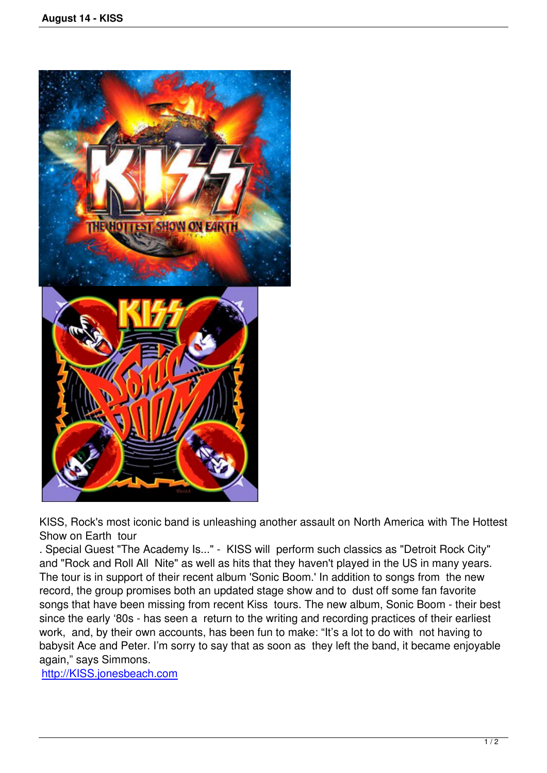

KISS, Rock's most iconic band is unleashing another assault on North America with The Hottest Show on Earth tour

. Special Guest "The Academy Is..." - KISS will perform such classics as "Detroit Rock City" and "Rock and Roll All Nite" as well as hits that they haven't played in the US in many years. The tour is in support of their recent album 'Sonic Boom.' In addition to songs from the new record, the group promises both an updated stage show and to dust off some fan favorite songs that have been missing from recent Kiss tours. The new album, Sonic Boom - their best since the early '80s - has seen a return to the writing and recording practices of their earliest work, and, by their own accounts, has been fun to make: "It's a lot to do with not having to babysit Ace and Peter. I'm sorry to say that as soon as they left the band, it became enjoyable again," says Simmons.

http://KISS.jonesbeach.com